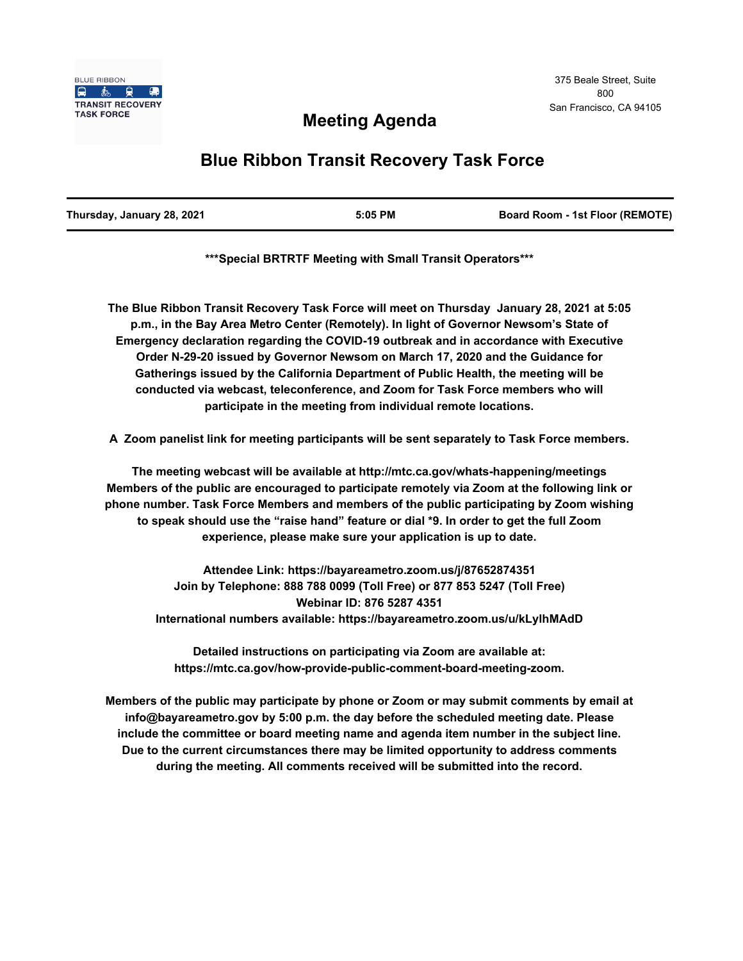

# **Meeting Agenda**

# **Blue Ribbon Transit Recovery Task Force**

| Thursday, January 28, 2021 | 5:05 PM | <b>Board Room - 1st Floor (REMOTE)</b> |
|----------------------------|---------|----------------------------------------|
|                            |         |                                        |

**\*\*\*Special BRTRTF Meeting with Small Transit Operators\*\*\***

**The Blue Ribbon Transit Recovery Task Force will meet on Thursday January 28, 2021 at 5:05 p.m., in the Bay Area Metro Center (Remotely). In light of Governor Newsom's State of Emergency declaration regarding the COVID-19 outbreak and in accordance with Executive Order N-29-20 issued by Governor Newsom on March 17, 2020 and the Guidance for Gatherings issued by the California Department of Public Health, the meeting will be conducted via webcast, teleconference, and Zoom for Task Force members who will participate in the meeting from individual remote locations.** 

**A Zoom panelist link for meeting participants will be sent separately to Task Force members.**

**The meeting webcast will be available at http://mtc.ca.gov/whats-happening/meetings Members of the public are encouraged to participate remotely via Zoom at the following link or phone number. Task Force Members and members of the public participating by Zoom wishing to speak should use the "raise hand" feature or dial \*9. In order to get the full Zoom experience, please make sure your application is up to date.**

**Attendee Link: https://bayareametro.zoom.us/j/87652874351 Join by Telephone: 888 788 0099 (Toll Free) or 877 853 5247 (Toll Free) Webinar ID: 876 5287 4351 International numbers available: https://bayareametro.zoom.us/u/kLylhMAdD**

**Detailed instructions on participating via Zoom are available at: https://mtc.ca.gov/how-provide-public-comment-board-meeting-zoom.**

**Members of the public may participate by phone or Zoom or may submit comments by email at info@bayareametro.gov by 5:00 p.m. the day before the scheduled meeting date. Please include the committee or board meeting name and agenda item number in the subject line. Due to the current circumstances there may be limited opportunity to address comments during the meeting. All comments received will be submitted into the record.**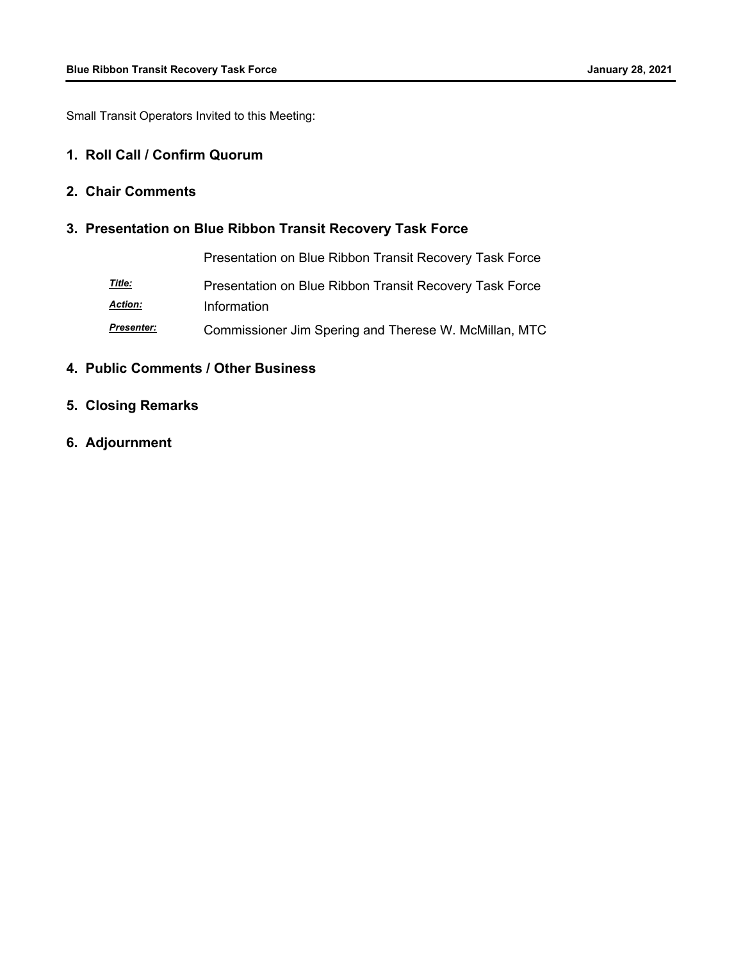Small Transit Operators Invited to this Meeting:

#### **1. Roll Call / Confirm Quorum**

### **2. Chair Comments**

## **3. Presentation on Blue Ribbon Transit Recovery Task Force**

|                | Presentation on Blue Ribbon Transit Recovery Task Force |
|----------------|---------------------------------------------------------|
| <u>Title:</u>  | Presentation on Blue Ribbon Transit Recovery Task Force |
| <b>Action:</b> | Information                                             |
| Presenter:     | Commissioner Jim Spering and Therese W. McMillan, MTC   |

#### **4. Public Comments / Other Business**

- **5. Closing Remarks**
- **6. Adjournment**